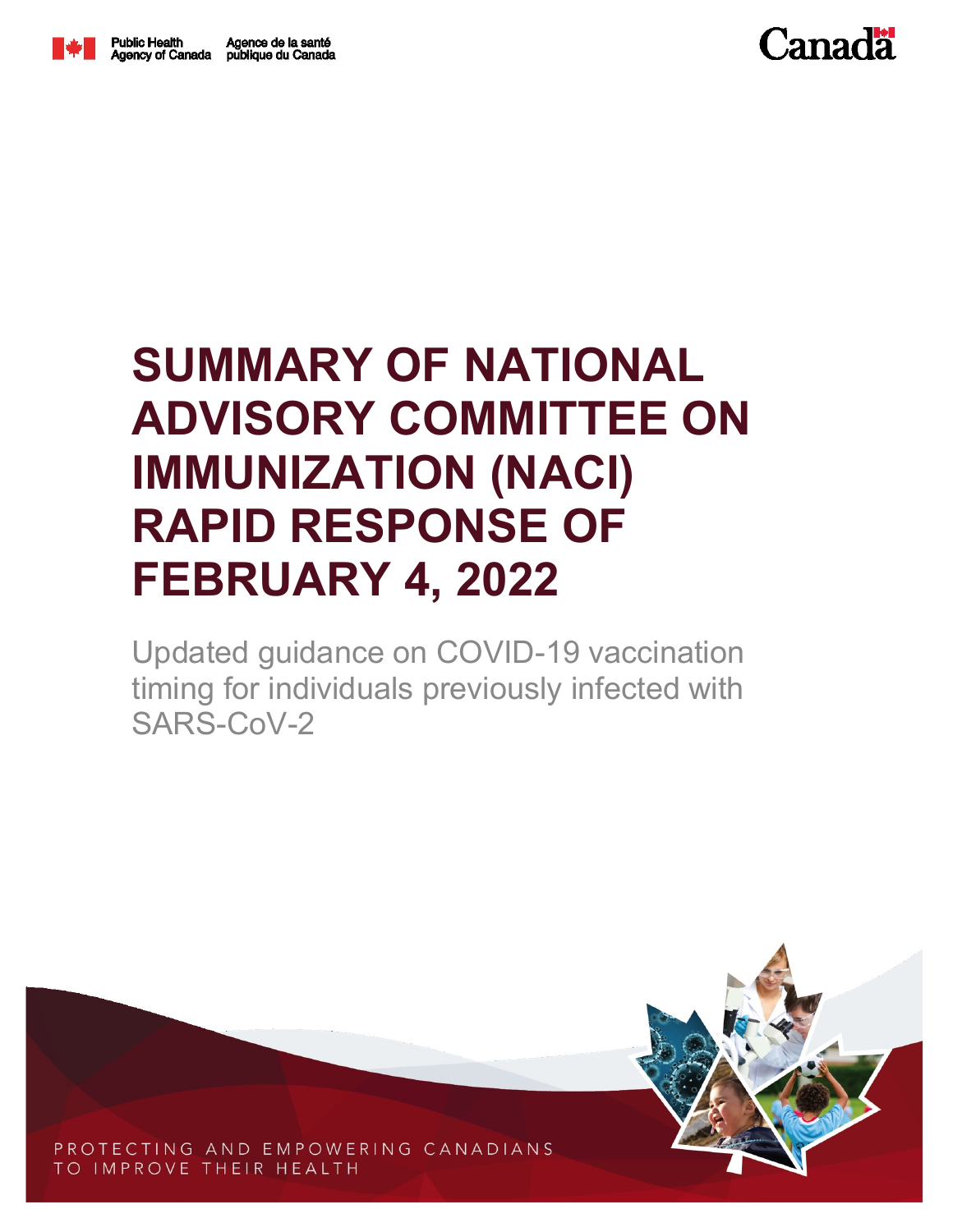



Updated guidance on COVID-19 vaccination timing for individuals previously infected with SARS-CoV-2



PROTECTING AND EMPOWERING CANADIANS TO IMPROVE THEIR HEALTH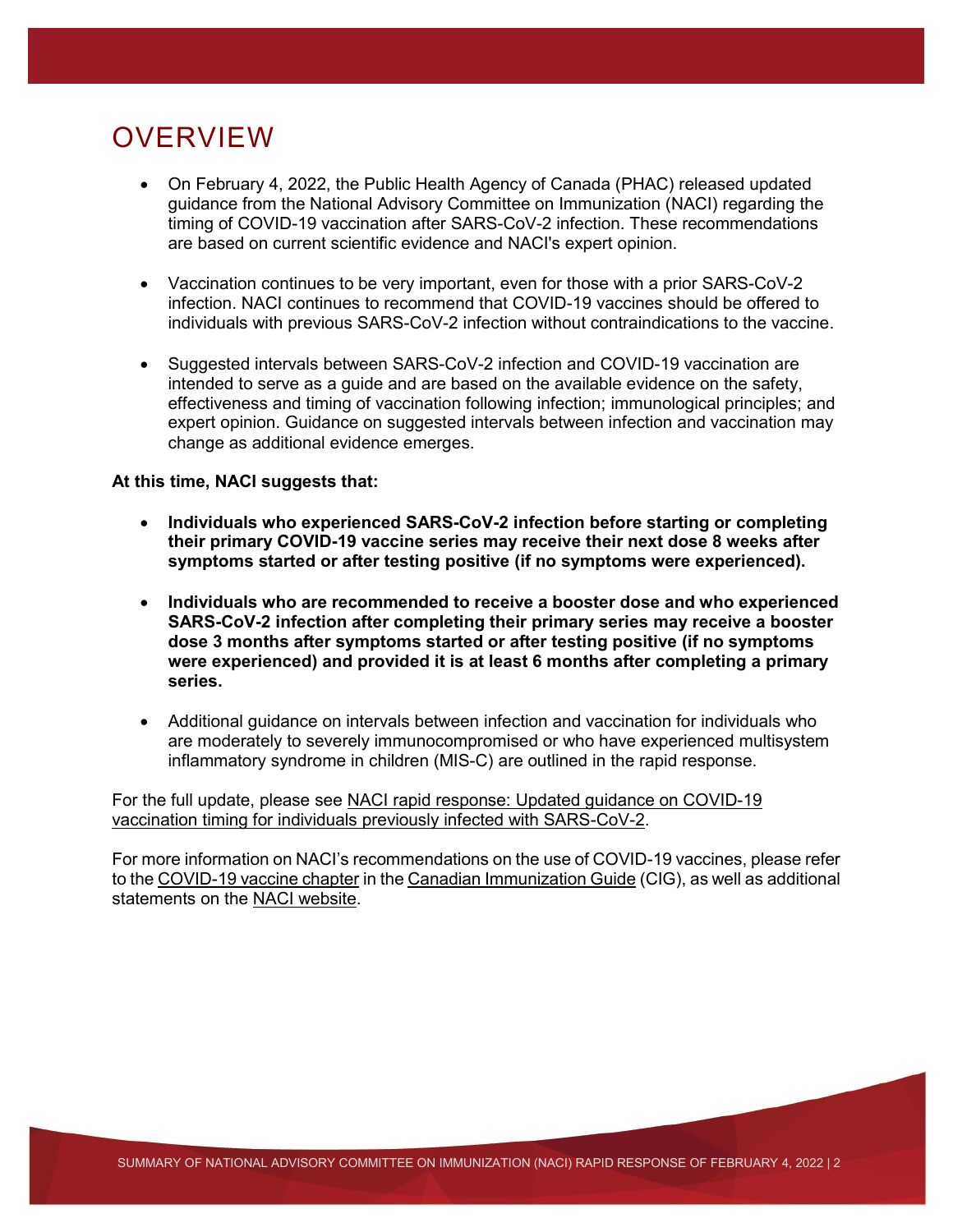## **OVERVIEW**

- On February 4, 2022, the Public Health Agency of Canada (PHAC) released updated guidance from the National Advisory Committee on Immunization (NACI) regarding the timing of COVID-19 vaccination after SARS-CoV-2 infection. These recommendations are based on current scientific evidence and NACI's expert opinion.
- Vaccination continues to be very important, even for those with a prior SARS-CoV-2 infection. NACI continues to recommend that COVID-19 vaccines should be offered to individuals with previous SARS-CoV-2 infection without contraindications to the vaccine.
- Suggested intervals between SARS-CoV-2 infection and COVID-19 vaccination are intended to serve as a guide and are based on the available evidence on the safety, effectiveness and timing of vaccination following infection; immunological principles; and expert opinion. Guidance on suggested intervals between infection and vaccination may change as additional evidence emerges.

## **At this time, NACI suggests that:**

- **Individuals who experienced SARS-CoV-2 infection before starting or completing their primary COVID-19 vaccine series may receive their next dose 8 weeks after symptoms started or after testing positive (if no symptoms were experienced).**
- **Individuals who are recommended to receive a booster dose and who experienced SARS-CoV-2 infection after completing their primary series may receive a booster dose 3 months after symptoms started or after testing positive (if no symptoms were experienced) and provided it is at least 6 months after completing a primary series.**
- Additional guidance on intervals between infection and vaccination for individuals who are moderately to severely immunocompromised or who have experienced multisystem inflammatory syndrome in children (MIS-C) are outlined in the rapid response.

For the full update, please see [NACI rapid response: Updated guidance on COVID-19](https://www.canada.ca/en/public-health/services/immunization/national-advisory-committee-on-immunization-naci.html)  [vaccination timing for individuals previously infected with SARS-CoV-2.](https://www.canada.ca/en/public-health/services/immunization/national-advisory-committee-on-immunization-naci.html)

For more information on NACI's recommendations on the use of COVID-19 vaccines, please refer to th[e COVID-19 vaccine chapter](https://www.canada.ca/en/public-health/services/publications/healthy-living/canadian-immunization-guide-part-4-active-vaccines/page-26-covid-19-vaccine.html) in the [Canadian Immunization Guide](https://www.canada.ca/en/public-health/services/canadian-immunization-guide.html) (CIG), as well as additional statements on the [NACI website.](https://www.canada.ca/en/public-health/services/immunization/national-advisory-committee-on-immunization-naci.html)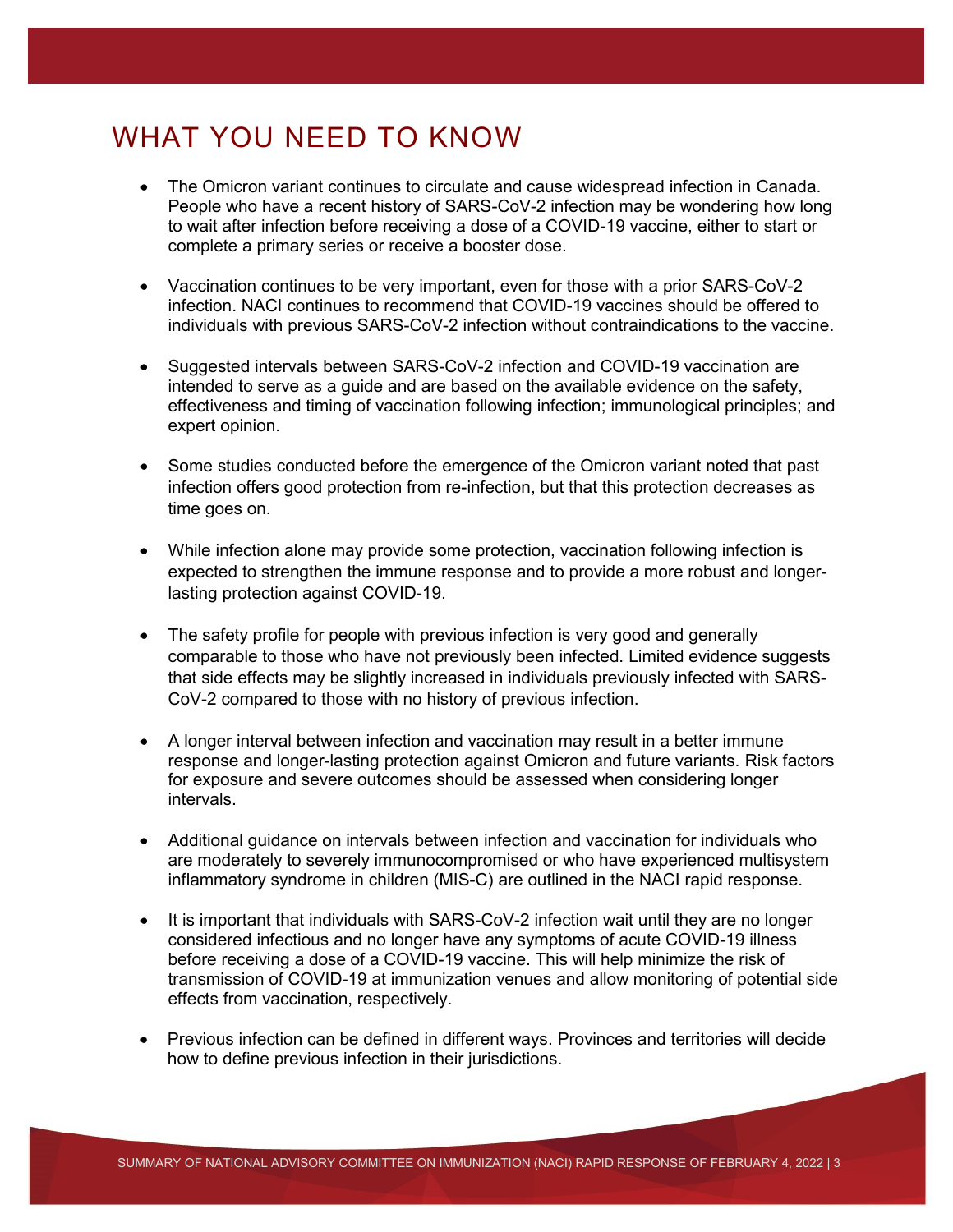## WHAT YOU NEED TO KNOW

- The Omicron variant continues to circulate and cause widespread infection in Canada. People who have a recent history of SARS-CoV-2 infection may be wondering how long to wait after infection before receiving a dose of a COVID-19 vaccine, either to start or complete a primary series or receive a booster dose.
- Vaccination continues to be very important, even for those with a prior SARS-CoV-2 infection. NACI continues to recommend that COVID-19 vaccines should be offered to individuals with previous SARS-CoV-2 infection without contraindications to the vaccine.
- Suggested intervals between SARS-CoV-2 infection and COVID-19 vaccination are intended to serve as a guide and are based on the available evidence on the safety, effectiveness and timing of vaccination following infection; immunological principles; and expert opinion.
- Some studies conducted before the emergence of the Omicron variant noted that past infection offers good protection from re-infection, but that this protection decreases as time goes on.
- While infection alone may provide some protection, vaccination following infection is expected to strengthen the immune response and to provide a more robust and longerlasting protection against COVID-19.
- The safety profile for people with previous infection is very good and generally comparable to those who have not previously been infected. Limited evidence suggests that side effects may be slightly increased in individuals previously infected with SARS-CoV-2 compared to those with no history of previous infection.
- A longer interval between infection and vaccination may result in a better immune response and longer-lasting protection against Omicron and future variants. Risk factors for exposure and severe outcomes should be assessed when considering longer intervals.
- Additional guidance on intervals between infection and vaccination for individuals who are moderately to severely immunocompromised or who have experienced multisystem inflammatory syndrome in children (MIS-C) are outlined in the NACI rapid response.
- It is important that individuals with SARS-CoV-2 infection wait until they are no longer considered infectious and no longer have any symptoms of acute COVID-19 illness before receiving a dose of a COVID-19 vaccine. This will help minimize the risk of transmission of COVID-19 at immunization venues and allow monitoring of potential side effects from vaccination, respectively.
- Previous infection can be defined in different ways. Provinces and territories will decide how to define previous infection in their jurisdictions.